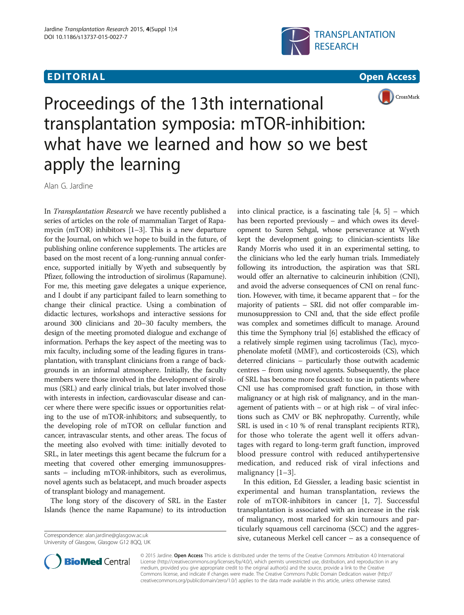# EDITORIAL CONTRACT CONTRACT CONTRACT CONTRACT CONTRACT CONTRACT CONTRACT CONTRACT CONTRACT CONTRACT CONTRACT CO





Proceedings of the 13th international transplantation symposia: mTOR-inhibition: what have we learned and how so we best apply the learning

Alan G. Jardine

In Transplantation Research we have recently published a series of articles on the role of mammalian Target of Rapamycin (mTOR) inhibitors [[1](#page-2-0)–[3](#page-2-0)]. This is a new departure for the Journal, on which we hope to build in the future, of publishing online conference supplements. The articles are based on the most recent of a long-running annual conference, supported initially by Wyeth and subsequently by Pfizer, following the introduction of sirolimus (Rapamune). For me, this meeting gave delegates a unique experience, and I doubt if any participant failed to learn something to change their clinical practice. Using a combination of didactic lectures, workshops and interactive sessions for around 300 clinicians and 20–30 faculty members, the design of the meeting promoted dialogue and exchange of information. Perhaps the key aspect of the meeting was to mix faculty, including some of the leading figures in transplantation, with transplant clinicians from a range of backgrounds in an informal atmosphere. Initially, the faculty members were those involved in the development of sirolimus (SRL) and early clinical trials, but later involved those with interests in infection, cardiovascular disease and cancer where there were specific issues or opportunities relating to the use of mTOR-inhibitors; and subsequently, to the developing role of mTOR on cellular function and cancer, intravascular stents, and other areas. The focus of the meeting also evolved with time: initially devoted to SRL, in later meetings this agent became the fulcrum for a meeting that covered other emerging immunosuppressants – including mTOR-inhibitors, such as everolimus, novel agents such as belatacept, and much broader aspects of transplant biology and management.

The long story of the discovery of SRL in the Easter Islands (hence the name Rapamune) to its introduction

University of Glasgow, Glasgow G12 8QQ, UK



In this edition, Ed Giessler, a leading basic scientist in experimental and human transplantation, reviews the role of mTOR-inhibitors in cancer [\[1](#page-2-0), [7](#page-2-0)]. Successful transplantation is associated with an increase in the risk of malignancy, most marked for skin tumours and particularly squamous cell carcinoma (SCC) and the aggressive, cutaneous Merkel cell cancer – as a consequence of Correspondence: [alan.jardine@glasgow.ac.uk](mailto:alan.jardine@glasgow.ac.uk)



© 2015 Jardine. Open Access This article is distributed under the terms of the Creative Commons Attribution 4.0 International License ([http://creativecommons.org/licenses/by/4.0/\)](http://creativecommons.org/licenses/by/4.0/), which permits unrestricted use, distribution, and reproduction in any medium, provided you give appropriate credit to the original author(s) and the source, provide a link to the Creative Commons license, and indicate if changes were made. The Creative Commons Public Domain Dedication waiver ([http://](http://creativecommons.org/publicdomain/zero/1.0/) [creativecommons.org/publicdomain/zero/1.0/\)](http://creativecommons.org/publicdomain/zero/1.0/) applies to the data made available in this article, unless otherwise stated.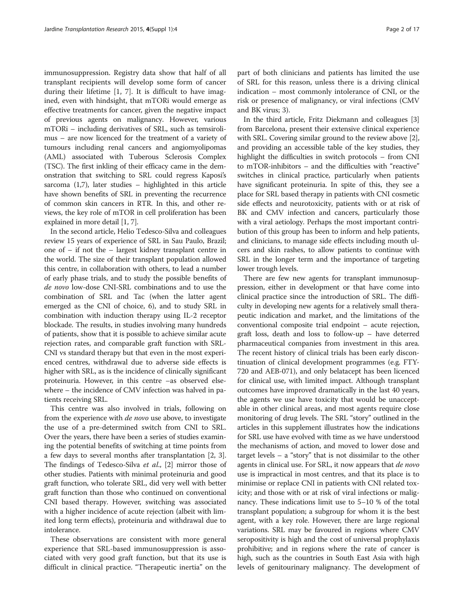immunosuppression. Registry data show that half of all transplant recipients will develop some form of cancer during their lifetime [\[1](#page-2-0), [7](#page-2-0)]. It is difficult to have imagined, even with hindsight, that mTORi would emerge as effective treatments for cancer, given the negative impact of previous agents on malignancy. However, various mTORi – including derivatives of SRL, such as temsirolimus – are now licenced for the treatment of a variety of tumours including renal cancers and angiomyolipomas (AML) associated with Tuberous Sclerosis Complex (TSC). The first inkling of their efficacy came in the demonstration that switching to SRL could regress Kaposi's sarcoma (1,7), later studies – highlighted in this article have shown benefits of SRL in preventing the recurrence of common skin cancers in RTR. In this, and other reviews, the key role of mTOR in cell proliferation has been explained in more detail [\[1](#page-2-0), [7\]](#page-2-0).

In the second article, Helio Tedesco-Silva and colleagues review 15 years of experience of SRL in Sau Paulo, Brazil; one of – if not the – largest kidney transplant centre in the world. The size of their transplant population allowed this centre, in collaboration with others, to lead a number of early phase trials, and to study the possible benefits of de novo low-dose CNI-SRL combinations and to use the combination of SRL and Tac (when the latter agent emerged as the CNI of choice, 6), and to study SRL in combination with induction therapy using IL-2 receptor blockade. The results, in studies involving many hundreds of patients, show that it is possible to achieve similar acute rejection rates, and comparable graft function with SRL-CNI vs standard therapy but that even in the most experienced centres, withdrawal due to adverse side effects is higher with SRL, as is the incidence of clinically significant proteinuria. However, in this centre –as observed elsewhere – the incidence of CMV infection was halved in patients receiving SRL.

This centre was also involved in trials, following on from the experience with de novo use above, to investigate the use of a pre-determined switch from CNI to SRL. Over the years, there have been a series of studies examining the potential benefits of switching at time points from a few days to several months after transplantation [[2, 3](#page-2-0)]. The findings of Tedesco-Silva et al., [\[2](#page-2-0)] mirror those of other studies. Patients with minimal proteinuria and good graft function, who tolerate SRL, did very well with better graft function than those who continued on conventional CNI based therapy. However, switching was associated with a higher incidence of acute rejection (albeit with limited long term effects), proteinuria and withdrawal due to intolerance.

These observations are consistent with more general experience that SRL-based immunosuppression is associated with very good graft function, but that its use is difficult in clinical practice. "Therapeutic inertia" on the

part of both clinicians and patients has limited the use of SRL for this reason, unless there is a driving clinical indication – most commonly intolerance of CNI, or the risk or presence of malignancy, or viral infections (CMV and BK virus; 3).

In the third article, Fritz Diekmann and colleagues [[3](#page-2-0)] from Barcelona, present their extensive clinical experience with SRL. Covering similar ground to the review above [[2](#page-2-0)], and providing an accessible table of the key studies, they highlight the difficulties in switch protocols – from CNI to mTOR-inhibitors – and the difficulties with "reactive" switches in clinical practice, particularly when patients have significant proteinuria. In spite of this, they see a place for SRL based therapy in patients with CNI cosmetic side effects and neurotoxicity, patients with or at risk of BK and CMV infection and cancers, particularly those with a viral aetiology. Perhaps the most important contribution of this group has been to inform and help patients, and clinicians, to manage side effects including mouth ulcers and skin rashes, to allow patients to continue with SRL in the longer term and the importance of targeting lower trough levels.

There are few new agents for transplant immunosuppression, either in development or that have come into clinical practice since the introduction of SRL. The difficulty in developing new agents for a relatively small therapeutic indication and market, and the limitations of the conventional composite trial endpoint – acute rejection, graft loss, death and loss to follow-up – have deterred pharmaceutical companies from investment in this area. The recent history of clinical trials has been early discontinuation of clinical development programmes (e.g. FTY-720 and AEB-071), and only belatacept has been licenced for clinical use, with limited impact. Although transplant outcomes have improved dramatically in the last 40 years, the agents we use have toxicity that would be unacceptable in other clinical areas, and most agents require close monitoring of drug levels. The SRL "story" outlined in the articles in this supplement illustrates how the indications for SRL use have evolved with time as we have understood the mechanisms of action, and moved to lower dose and target levels – a "story" that is not dissimilar to the other agents in clinical use. For SRL, it now appears that *de novo* use is impractical in most centres, and that its place is to minimise or replace CNI in patients with CNI related toxicity; and those with or at risk of viral infections or malignancy. These indications limit use to 5–10 % of the total transplant population; a subgroup for whom it is the best agent, with a key role. However, there are large regional variations. SRL may be favoured in regions where CMV seropositivity is high and the cost of universal prophylaxis prohibitive; and in regions where the rate of cancer is high, such as the countries in South East Asia with high levels of genitourinary malignancy. The development of